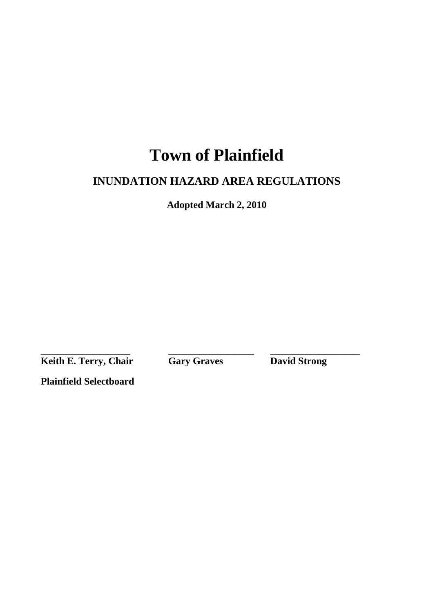# **Town of Plainfield**

# **INUNDATION HAZARD AREA REGULATIONS**

**Adopted March 2, 2010** 

**Keith E. Terry, Chair** Gary Graves David Strong

**\_\_\_\_\_\_\_\_\_\_\_\_\_\_\_\_\_\_\_\_\_\_\_ \_\_\_\_\_\_\_\_\_\_\_\_\_\_\_\_\_\_\_\_\_\_ \_\_\_\_\_\_\_\_\_\_\_\_\_\_\_\_\_\_\_\_\_\_\_** 

**Plainfield Selectboard**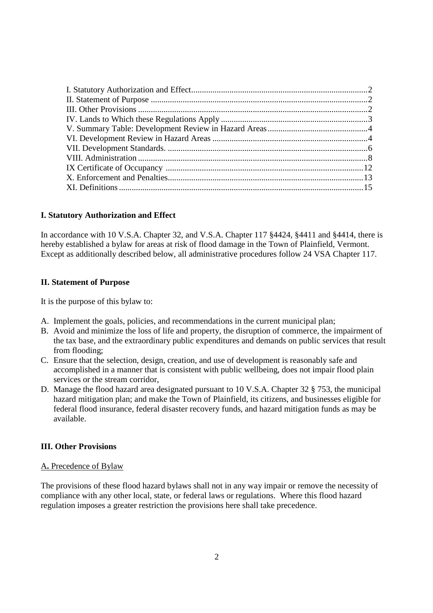#### **I. Statutory Authorization and Effect**

In accordance with 10 V.S.A. Chapter 32, and V.S.A. Chapter 117 §4424, §4411 and §4414, there is hereby established a bylaw for areas at risk of flood damage in the Town of Plainfield, Vermont. Except as additionally described below, all administrative procedures follow 24 VSA Chapter 117.

#### **II. Statement of Purpose**

It is the purpose of this bylaw to:

- A. Implement the goals, policies, and recommendations in the current municipal plan;
- B. Avoid and minimize the loss of life and property, the disruption of commerce, the impairment of the tax base, and the extraordinary public expenditures and demands on public services that result from flooding;
- C. Ensure that the selection, design, creation, and use of development is reasonably safe and accomplished in a manner that is consistent with public wellbeing, does not impair flood plain services or the stream corridor,
- D. Manage the flood hazard area designated pursuant to 10 V.S.A. Chapter 32 § 753, the municipal hazard mitigation plan; and make the Town of Plainfield, its citizens, and businesses eligible for federal flood insurance, federal disaster recovery funds, and hazard mitigation funds as may be available.

# **III. Other Provisions**

#### A**.** Precedence of Bylaw

The provisions of these flood hazard bylaws shall not in any way impair or remove the necessity of compliance with any other local, state, or federal laws or regulations. Where this flood hazard regulation imposes a greater restriction the provisions here shall take precedence.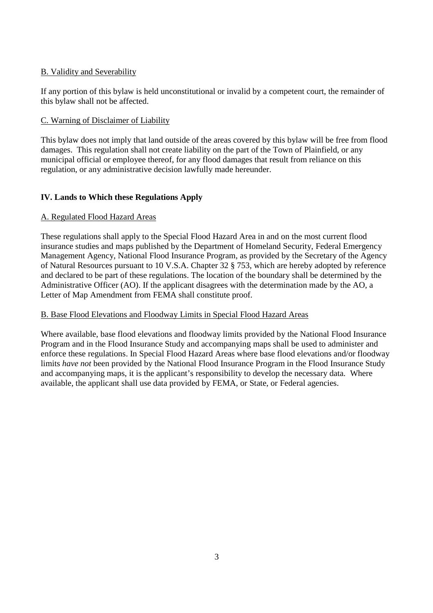# B. Validity and Severability

If any portion of this bylaw is held unconstitutional or invalid by a competent court, the remainder of this bylaw shall not be affected.

# C. Warning of Disclaimer of Liability

This bylaw does not imply that land outside of the areas covered by this bylaw will be free from flood damages. This regulation shall not create liability on the part of the Town of Plainfield, or any municipal official or employee thereof, for any flood damages that result from reliance on this regulation, or any administrative decision lawfully made hereunder.

# **IV. Lands to Which these Regulations Apply**

# A. Regulated Flood Hazard Areas

These regulations shall apply to the Special Flood Hazard Area in and on the most current flood insurance studies and maps published by the Department of Homeland Security, Federal Emergency Management Agency, National Flood Insurance Program, as provided by the Secretary of the Agency of Natural Resources pursuant to 10 V.S.A. Chapter 32 § 753, which are hereby adopted by reference and declared to be part of these regulations. The location of the boundary shall be determined by the Administrative Officer (AO). If the applicant disagrees with the determination made by the AO, a Letter of Map Amendment from FEMA shall constitute proof.

# B. Base Flood Elevations and Floodway Limits in Special Flood Hazard Areas

Where available, base flood elevations and floodway limits provided by the National Flood Insurance Program and in the Flood Insurance Study and accompanying maps shall be used to administer and enforce these regulations. In Special Flood Hazard Areas where base flood elevations and/or floodway limits *have not* been provided by the National Flood Insurance Program in the Flood Insurance Study and accompanying maps, it is the applicant's responsibility to develop the necessary data. Where available, the applicant shall use data provided by FEMA, or State, or Federal agencies.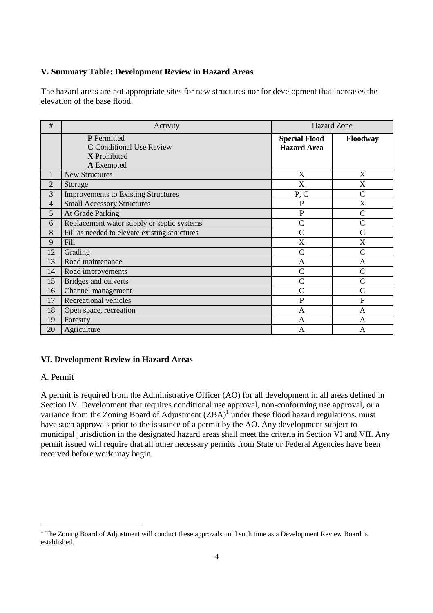# **V. Summary Table: Development Review in Hazard Areas**

The hazard areas are not appropriate sites for new structures nor for development that increases the elevation of the base flood.

| #              | Activity                                                                                   | <b>Hazard Zone</b>                         |                |
|----------------|--------------------------------------------------------------------------------------------|--------------------------------------------|----------------|
|                | <b>P</b> Permitted<br><b>C</b> Conditional Use Review<br>X Prohibited<br><b>A</b> Exempted | <b>Special Flood</b><br><b>Hazard Area</b> | Floodway       |
| 1              | <b>New Structures</b>                                                                      | X                                          | X              |
| $\overline{2}$ | Storage                                                                                    | X                                          | X              |
| 3              | <b>Improvements to Existing Structures</b>                                                 | P, C                                       | $\overline{C}$ |
| 4              | <b>Small Accessory Structures</b>                                                          | $\mathbf P$                                | X              |
| 5              | At Grade Parking                                                                           | $\overline{P}$                             | $\overline{C}$ |
| 6              | Replacement water supply or septic systems                                                 | $\overline{C}$                             | $\mathcal{C}$  |
| 8              | Fill as needed to elevate existing structures                                              | $\overline{C}$                             | $\mathcal{C}$  |
| 9              | Fill                                                                                       | X                                          | X              |
| 12             | Grading                                                                                    | $\overline{C}$                             | $\overline{C}$ |
| 13             | Road maintenance                                                                           | A                                          | A              |
| 14             | Road improvements                                                                          | C                                          | $\overline{C}$ |
| 15             | Bridges and culverts                                                                       | $\overline{C}$                             | $\overline{C}$ |
| 16             | Channel management                                                                         | $\overline{C}$                             | $\overline{C}$ |
| 17             | Recreational vehicles                                                                      | P                                          | $\mathbf{P}$   |
| 18             | Open space, recreation                                                                     | $\mathsf{A}$                               | $\overline{A}$ |
| 19             | Forestry                                                                                   | A                                          | A              |
| 20             | Agriculture                                                                                | A                                          | A              |

# **VI. Development Review in Hazard Areas**

# A. Permit

l

A permit is required from the Administrative Officer (AO) for all development in all areas defined in Section IV. Development that requires conditional use approval, non-conforming use approval, or a variance from the Zoning Board of Adjustment  $(ZBA)^{1}$  under these flood hazard regulations, must have such approvals prior to the issuance of a permit by the AO. Any development subject to municipal jurisdiction in the designated hazard areas shall meet the criteria in Section VI and VII. Any permit issued will require that all other necessary permits from State or Federal Agencies have been received before work may begin.

<sup>&</sup>lt;sup>1</sup> The Zoning Board of Adjustment will conduct these approvals until such time as a Development Review Board is established.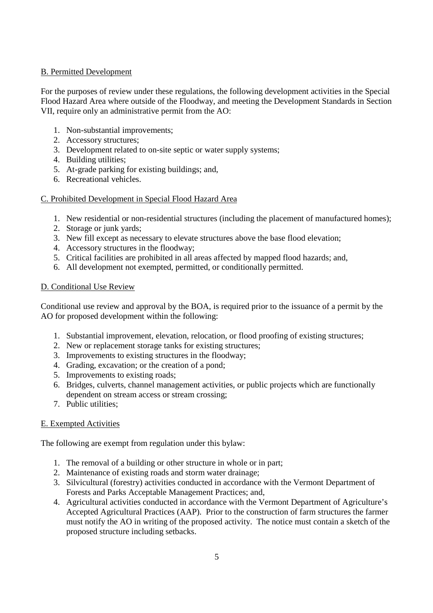# B. Permitted Development

For the purposes of review under these regulations, the following development activities in the Special Flood Hazard Area where outside of the Floodway, and meeting the Development Standards in Section VII, require only an administrative permit from the AO:

- 1. Non-substantial improvements;
- 2. Accessory structures;
- 3. Development related to on-site septic or water supply systems;
- 4. Building utilities;
- 5. At-grade parking for existing buildings; and,
- 6. Recreational vehicles.

# C. Prohibited Development in Special Flood Hazard Area

- 1. New residential or non-residential structures (including the placement of manufactured homes);
- 2. Storage or junk yards;
- 3. New fill except as necessary to elevate structures above the base flood elevation;
- 4. Accessory structures in the floodway;
- 5. Critical facilities are prohibited in all areas affected by mapped flood hazards; and,
- 6. All development not exempted, permitted, or conditionally permitted.

# D. Conditional Use Review

Conditional use review and approval by the BOA, is required prior to the issuance of a permit by the AO for proposed development within the following:

- 1. Substantial improvement, elevation, relocation, or flood proofing of existing structures;
- 2. New or replacement storage tanks for existing structures;
- 3. Improvements to existing structures in the floodway;
- 4. Grading, excavation; or the creation of a pond;
- 5. Improvements to existing roads;
- 6. Bridges, culverts, channel management activities, or public projects which are functionally dependent on stream access or stream crossing;
- 7. Public utilities;

# E. Exempted Activities

The following are exempt from regulation under this bylaw:

- 1. The removal of a building or other structure in whole or in part;
- 2. Maintenance of existing roads and storm water drainage;
- 3. Silvicultural (forestry) activities conducted in accordance with the Vermont Department of Forests and Parks Acceptable Management Practices; and,
- 4. Agricultural activities conducted in accordance with the Vermont Department of Agriculture's Accepted Agricultural Practices (AAP). Prior to the construction of farm structures the farmer must notify the AO in writing of the proposed activity. The notice must contain a sketch of the proposed structure including setbacks.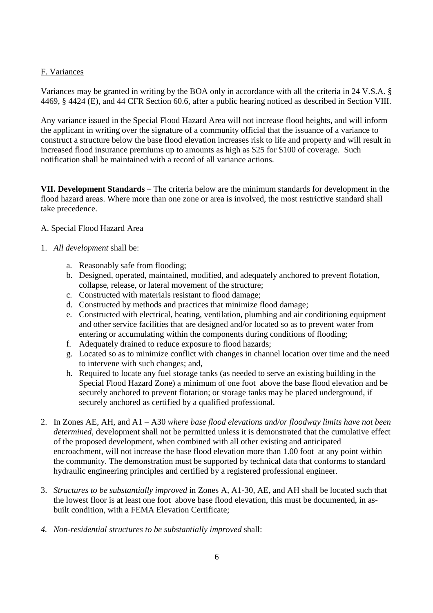# F. Variances

Variances may be granted in writing by the BOA only in accordance with all the criteria in 24 V.S.A. § 4469, § 4424 (E), and 44 CFR Section 60.6, after a public hearing noticed as described in Section VIII.

Any variance issued in the Special Flood Hazard Area will not increase flood heights, and will inform the applicant in writing over the signature of a community official that the issuance of a variance to construct a structure below the base flood elevation increases risk to life and property and will result in increased flood insurance premiums up to amounts as high as \$25 for \$100 of coverage. Such notification shall be maintained with a record of all variance actions.

**VII. Development Standards** – The criteria below are the minimum standards for development in the flood hazard areas. Where more than one zone or area is involved, the most restrictive standard shall take precedence.

# A. Special Flood Hazard Area

# 1. *All development* shall be:

- a. Reasonably safe from flooding;
- b. Designed, operated, maintained, modified, and adequately anchored to prevent flotation, collapse, release, or lateral movement of the structure;
- c. Constructed with materials resistant to flood damage;
- d. Constructed by methods and practices that minimize flood damage;
- e. Constructed with electrical, heating, ventilation, plumbing and air conditioning equipment and other service facilities that are designed and/or located so as to prevent water from entering or accumulating within the components during conditions of flooding;
- f. Adequately drained to reduce exposure to flood hazards;
- g. Located so as to minimize conflict with changes in channel location over time and the need to intervene with such changes; and,
- h. Required to locate any fuel storage tanks (as needed to serve an existing building in the Special Flood Hazard Zone) a minimum of one foot above the base flood elevation and be securely anchored to prevent flotation; or storage tanks may be placed underground, if securely anchored as certified by a qualified professional.
- 2. In Zones AE, AH, and A1 A30 *where base flood elevations and/or floodway limits have not been determined*, development shall not be permitted unless it is demonstrated that the cumulative effect of the proposed development, when combined with all other existing and anticipated encroachment, will not increase the base flood elevation more than 1.00 foot at any point within the community. The demonstration must be supported by technical data that conforms to standard hydraulic engineering principles and certified by a registered professional engineer.
- 3. *Structures to be substantially improved* in Zones A, A1-30, AE, and AH shall be located such that the lowest floor is at least one foot above base flood elevation, this must be documented, in asbuilt condition, with a FEMA Elevation Certificate;
- *4. Non-residential structures to be substantially improved* shall: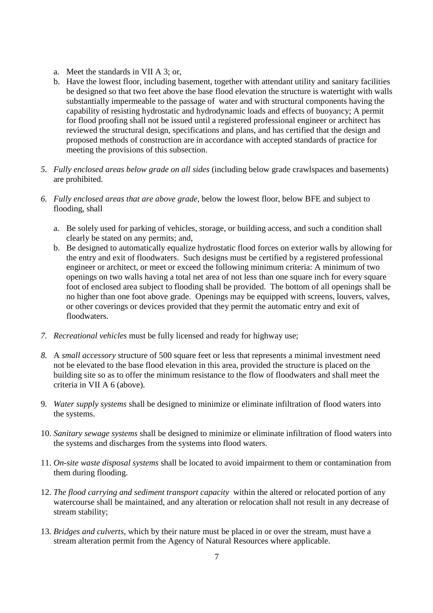- a. Meet the standards in VII A 3; or,
- b. Have the lowest floor, including basement, together with attendant utility and sanitary facilities be designed so that two feet above the base flood elevation the structure is watertight with walls substantially impermeable to the passage of water and with structural components having the capability of resisting hydrostatic and hydrodynamic loads and effects of buoyancy; A permit for flood proofing shall not be issued until a registered professional engineer or architect has reviewed the structural design, specifications and plans, and has certified that the design and proposed methods of construction are in accordance with accepted standards of practice for meeting the provisions of this subsection.
- *5. Fully enclosed areas below grade on all sides* (including below grade crawlspaces and basements) are prohibited.
- *6. Fully enclosed areas that are above grade*, below the lowest floor, below BFE and subject to flooding, shall
	- a. Be solely used for parking of vehicles, storage, or building access, and such a condition shall clearly be stated on any permits; and,
	- b. Be designed to automatically equalize hydrostatic flood forces on exterior walls by allowing for the entry and exit of floodwaters. Such designs must be certified by a registered professional engineer or architect, or meet or exceed the following minimum criteria: A minimum of two openings on two walls having a total net area of not less than one square inch for every square foot of enclosed area subject to flooding shall be provided. The bottom of all openings shall be no higher than one foot above grade. Openings may be equipped with screens, louvers, valves, or other coverings or devices provided that they permit the automatic entry and exit of floodwaters.
- *7. Recreational vehicles* must be fully licensed and ready for highway use;
- *8.* A *small accessory* structure of 500 square feet or less that represents a minimal investment need not be elevated to the base flood elevation in this area, provided the structure is placed on the building site so as to offer the minimum resistance to the flow of floodwaters and shall meet the criteria in VII A 6 (above).
- 9*. Water supply systems* shall be designed to minimize or eliminate infiltration of flood waters into the systems.
- 10. *Sanitary sewage systems* shall be designed to minimize or eliminate infiltration of flood waters into the systems and discharges from the systems into flood waters.
- 11. *On-site waste disposal systems* shall be located to avoid impairment to them or contamination from them during flooding.
- 12. *The flood carrying and sediment transport capacity* within the altered or relocated portion of any watercourse shall be maintained, and any alteration or relocation shall not result in any decrease of stream stability;
- 13*. Bridges and culverts*, which by their nature must be placed in or over the stream, must have a stream alteration permit from the Agency of Natural Resources where applicable.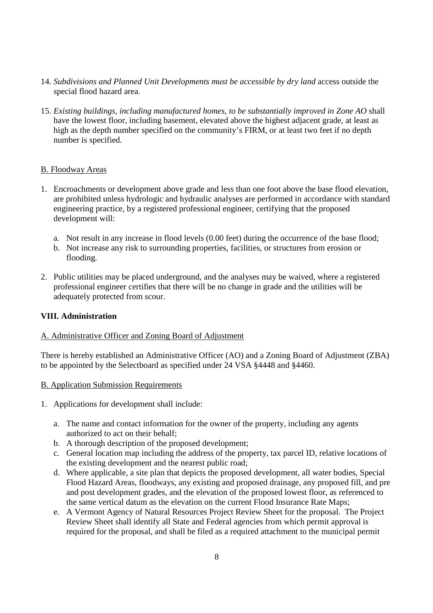- 14. *Subdivisions and Planned Unit Developments must be accessible by dry land* access outside the special flood hazard area.
- 15. *Existing buildings, including manufactured homes, to be substantially improved in Zone AO* shall have the lowest floor, including basement, elevated above the highest adjacent grade, at least as high as the depth number specified on the community's FIRM, or at least two feet if no depth number is specified.

#### B. Floodway Areas

- 1. Encroachments or development above grade and less than one foot above the base flood elevation, are prohibited unless hydrologic and hydraulic analyses are performed in accordance with standard engineering practice, by a registered professional engineer, certifying that the proposed development will:
	- a. Not result in any increase in flood levels (0.00 feet) during the occurrence of the base flood;
	- b. Not increase any risk to surrounding properties, facilities, or structures from erosion or flooding.
- 2. Public utilities may be placed underground, and the analyses may be waived, where a registered professional engineer certifies that there will be no change in grade and the utilities will be adequately protected from scour.

# **VIII. Administration**

#### A. Administrative Officer and Zoning Board of Adjustment

There is hereby established an Administrative Officer (AO) and a Zoning Board of Adjustment (ZBA) to be appointed by the Selectboard as specified under 24 VSA §4448 and §4460.

#### B. Application Submission Requirements

- 1. Applications for development shall include:
	- a. The name and contact information for the owner of the property, including any agents authorized to act on their behalf;
	- b. A thorough description of the proposed development;
	- c. General location map including the address of the property, tax parcel ID, relative locations of the existing development and the nearest public road;
	- d. Where applicable, a site plan that depicts the proposed development, all water bodies, Special Flood Hazard Areas, floodways, any existing and proposed drainage, any proposed fill, and pre and post development grades, and the elevation of the proposed lowest floor, as referenced to the same vertical datum as the elevation on the current Flood Insurance Rate Maps;
	- e. A Vermont Agency of Natural Resources Project Review Sheet for the proposal. The Project Review Sheet shall identify all State and Federal agencies from which permit approval is required for the proposal, and shall be filed as a required attachment to the municipal permit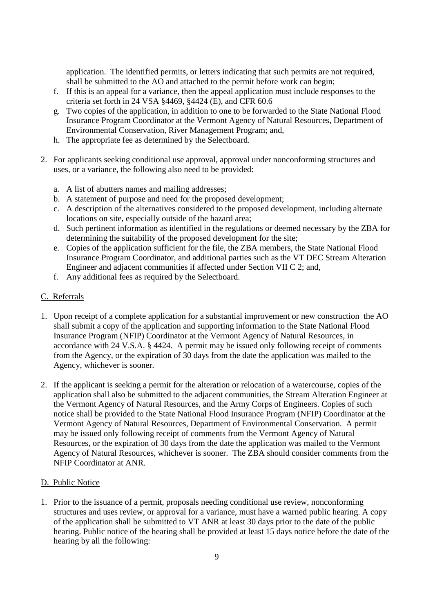application. The identified permits, or letters indicating that such permits are not required, shall be submitted to the AO and attached to the permit before work can begin;

- f. If this is an appeal for a variance, then the appeal application must include responses to the criteria set forth in 24 VSA §4469, §4424 (E), and CFR 60.6
- g. Two copies of the application, in addition to one to be forwarded to the State National Flood Insurance Program Coordinator at the Vermont Agency of Natural Resources, Department of Environmental Conservation, River Management Program; and,
- h. The appropriate fee as determined by the Selectboard.
- 2. For applicants seeking conditional use approval, approval under nonconforming structures and uses, or a variance, the following also need to be provided:
	- a. A list of abutters names and mailing addresses;
	- b. A statement of purpose and need for the proposed development;
	- c. A description of the alternatives considered to the proposed development, including alternate locations on site, especially outside of the hazard area;
	- d. Such pertinent information as identified in the regulations or deemed necessary by the ZBA for determining the suitability of the proposed development for the site;
	- e. Copies of the application sufficient for the file, the ZBA members, the State National Flood Insurance Program Coordinator, and additional parties such as the VT DEC Stream Alteration Engineer and adjacent communities if affected under Section VII C 2; and,
	- f. Any additional fees as required by the Selectboard.

# C. Referrals

- 1. Upon receipt of a complete application for a substantial improvement or new construction the AO shall submit a copy of the application and supporting information to the State National Flood Insurance Program (NFIP) Coordinator at the Vermont Agency of Natural Resources, in accordance with 24 V.S.A. § 4424. A permit may be issued only following receipt of comments from the Agency, or the expiration of 30 days from the date the application was mailed to the Agency, whichever is sooner.
- 2. If the applicant is seeking a permit for the alteration or relocation of a watercourse, copies of the application shall also be submitted to the adjacent communities, the Stream Alteration Engineer at the Vermont Agency of Natural Resources, and the Army Corps of Engineers. Copies of such notice shall be provided to the State National Flood Insurance Program (NFIP) Coordinator at the Vermont Agency of Natural Resources, Department of Environmental Conservation. A permit may be issued only following receipt of comments from the Vermont Agency of Natural Resources, or the expiration of 30 days from the date the application was mailed to the Vermont Agency of Natural Resources, whichever is sooner. The ZBA should consider comments from the NFIP Coordinator at ANR.

#### D. Public Notice

1. Prior to the issuance of a permit, proposals needing conditional use review, nonconforming structures and uses review, or approval for a variance, must have a warned public hearing. A copy of the application shall be submitted to VT ANR at least 30 days prior to the date of the public hearing. Public notice of the hearing shall be provided at least 15 days notice before the date of the hearing by all the following: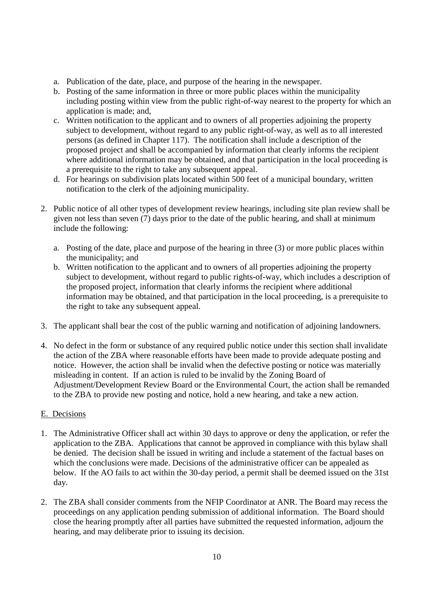- a. Publication of the date, place, and purpose of the hearing in the newspaper.
- b. Posting of the same information in three or more public places within the municipality including posting within view from the public right-of-way nearest to the property for which an application is made; and,
- c. Written notification to the applicant and to owners of all properties adjoining the property subject to development, without regard to any public right-of-way, as well as to all interested persons (as defined in Chapter 117). The notification shall include a description of the proposed project and shall be accompanied by information that clearly informs the recipient where additional information may be obtained, and that participation in the local proceeding is a prerequisite to the right to take any subsequent appeal.
- d. For hearings on subdivision plats located within 500 feet of a municipal boundary, written notification to the clerk of the adjoining municipality.
- 2. Public notice of all other types of development review hearings, including site plan review shall be given not less than seven  $(7)$  days prior to the date of the public hearing, and shall at minimum include the following:
	- a. Posting of the date, place and purpose of the hearing in three (3) or more public places within the municipality; and
	- b. Written notification to the applicant and to owners of all properties adjoining the property subject to development, without regard to public rights-of-way, which includes a description of the proposed project, information that clearly informs the recipient where additional information may be obtained, and that participation in the local proceeding, is a prerequisite to the right to take any subsequent appeal.
- 3. The applicant shall bear the cost of the public warning and notification of adjoining landowners.
- 4. No defect in the form or substance of any required public notice under this section shall invalidate the action of the ZBA where reasonable efforts have been made to provide adequate posting and notice. However, the action shall be invalid when the defective posting or notice was materially misleading in content. If an action is ruled to be invalid by the Zoning Board of Adjustment/Development Review Board or the Environmental Court, the action shall be remanded to the ZBA to provide new posting and notice, hold a new hearing, and take a new action.

# E. Decisions

- 1. The Administrative Officer shall act within 30 days to approve or deny the application, or refer the application to the ZBA. Applications that cannot be approved in compliance with this bylaw shall be denied. The decision shall be issued in writing and include a statement of the factual bases on which the conclusions were made. Decisions of the administrative officer can be appealed as below. If the AO fails to act within the 30-day period, a permit shall be deemed issued on the 31st day.
- 2. The ZBA shall consider comments from the NFIP Coordinator at ANR. The Board may recess the proceedings on any application pending submission of additional information. The Board should close the hearing promptly after all parties have submitted the requested information, adjourn the hearing, and may deliberate prior to issuing its decision.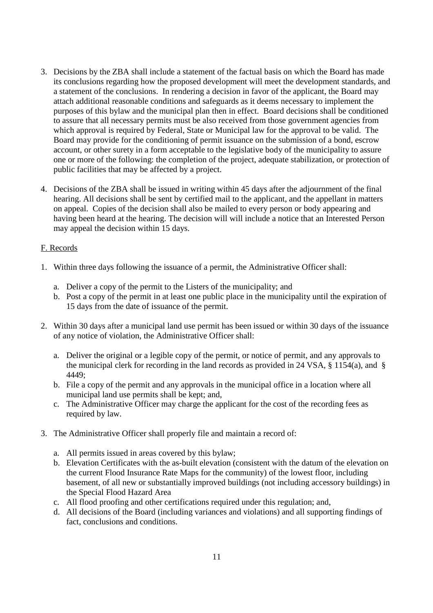- 3. Decisions by the ZBA shall include a statement of the factual basis on which the Board has made its conclusions regarding how the proposed development will meet the development standards, and a statement of the conclusions. In rendering a decision in favor of the applicant, the Board may attach additional reasonable conditions and safeguards as it deems necessary to implement the purposes of this bylaw and the municipal plan then in effect. Board decisions shall be conditioned to assure that all necessary permits must be also received from those government agencies from which approval is required by Federal, State or Municipal law for the approval to be valid. The Board may provide for the conditioning of permit issuance on the submission of a bond, escrow account, or other surety in a form acceptable to the legislative body of the municipality to assure one or more of the following: the completion of the project, adequate stabilization, or protection of public facilities that may be affected by a project.
- 4. Decisions of the ZBA shall be issued in writing within 45 days after the adjournment of the final hearing. All decisions shall be sent by certified mail to the applicant, and the appellant in matters on appeal. Copies of the decision shall also be mailed to every person or body appearing and having been heard at the hearing. The decision will will include a notice that an Interested Person may appeal the decision within 15 days.

#### F. Records

- 1. Within three days following the issuance of a permit, the Administrative Officer shall:
	- a. Deliver a copy of the permit to the Listers of the municipality; and
	- b. Post a copy of the permit in at least one public place in the municipality until the expiration of 15 days from the date of issuance of the permit.
- 2. Within 30 days after a municipal land use permit has been issued or within 30 days of the issuance of any notice of violation, the Administrative Officer shall:
	- a. Deliver the original or a legible copy of the permit, or notice of permit, and any approvals to the municipal clerk for recording in the land records as provided in 24 VSA, § 1154(a), and § 4449;
	- b. File a copy of the permit and any approvals in the municipal office in a location where all municipal land use permits shall be kept; and,
	- c. The Administrative Officer may charge the applicant for the cost of the recording fees as required by law.
- 3. The Administrative Officer shall properly file and maintain a record of:
	- a. All permits issued in areas covered by this bylaw;
	- b. Elevation Certificates with the as-built elevation (consistent with the datum of the elevation on the current Flood Insurance Rate Maps for the community) of the lowest floor, including basement, of all new or substantially improved buildings (not including accessory buildings) in the Special Flood Hazard Area
	- c. All flood proofing and other certifications required under this regulation; and,
	- d. All decisions of the Board (including variances and violations) and all supporting findings of fact, conclusions and conditions.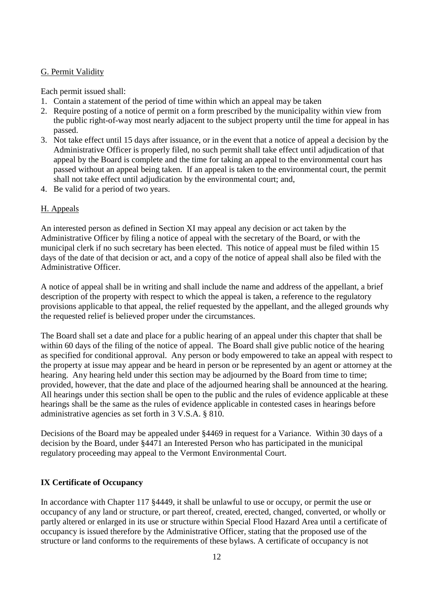#### G. Permit Validity

Each permit issued shall:

- 1. Contain a statement of the period of time within which an appeal may be taken
- 2. Require posting of a notice of permit on a form prescribed by the municipality within view from the public right-of-way most nearly adjacent to the subject property until the time for appeal in has passed.
- 3. Not take effect until 15 days after issuance, or in the event that a notice of appeal a decision by the Administrative Officer is properly filed, no such permit shall take effect until adjudication of that appeal by the Board is complete and the time for taking an appeal to the environmental court has passed without an appeal being taken. If an appeal is taken to the environmental court, the permit shall not take effect until adjudication by the environmental court; and,
- 4. Be valid for a period of two years.

# H. Appeals

An interested person as defined in Section XI may appeal any decision or act taken by the Administrative Officer by filing a notice of appeal with the secretary of the Board, or with the municipal clerk if no such secretary has been elected. This notice of appeal must be filed within 15 days of the date of that decision or act, and a copy of the notice of appeal shall also be filed with the Administrative Officer.

A notice of appeal shall be in writing and shall include the name and address of the appellant, a brief description of the property with respect to which the appeal is taken, a reference to the regulatory provisions applicable to that appeal, the relief requested by the appellant, and the alleged grounds why the requested relief is believed proper under the circumstances.

The Board shall set a date and place for a public hearing of an appeal under this chapter that shall be within 60 days of the filing of the notice of appeal. The Board shall give public notice of the hearing as specified for conditional approval. Any person or body empowered to take an appeal with respect to the property at issue may appear and be heard in person or be represented by an agent or attorney at the hearing. Any hearing held under this section may be adjourned by the Board from time to time; provided, however, that the date and place of the adjourned hearing shall be announced at the hearing. All hearings under this section shall be open to the public and the rules of evidence applicable at these hearings shall be the same as the rules of evidence applicable in contested cases in hearings before administrative agencies as set forth in 3 V.S.A. § 810.

Decisions of the Board may be appealed under §4469 in request for a Variance. Within 30 days of a decision by the Board, under §4471 an Interested Person who has participated in the municipal regulatory proceeding may appeal to the Vermont Environmental Court.

# **IX Certificate of Occupancy**

In accordance with Chapter 117 §4449, it shall be unlawful to use or occupy, or permit the use or occupancy of any land or structure, or part thereof, created, erected, changed, converted, or wholly or partly altered or enlarged in its use or structure within Special Flood Hazard Area until a certificate of occupancy is issued therefore by the Administrative Officer, stating that the proposed use of the structure or land conforms to the requirements of these bylaws. A certificate of occupancy is not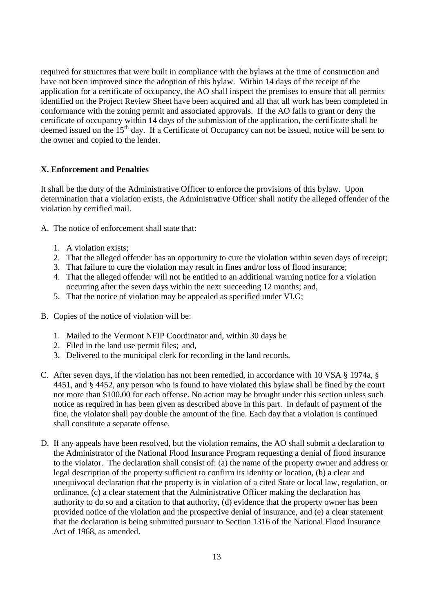required for structures that were built in compliance with the bylaws at the time of construction and have not been improved since the adoption of this bylaw. Within 14 days of the receipt of the application for a certificate of occupancy, the AO shall inspect the premises to ensure that all permits identified on the Project Review Sheet have been acquired and all that all work has been completed in conformance with the zoning permit and associated approvals. If the AO fails to grant or deny the certificate of occupancy within 14 days of the submission of the application, the certificate shall be deemed issued on the 15<sup>th</sup> day. If a Certificate of Occupancy can not be issued, notice will be sent to the owner and copied to the lender.

#### **X. Enforcement and Penalties**

It shall be the duty of the Administrative Officer to enforce the provisions of this bylaw. Upon determination that a violation exists, the Administrative Officer shall notify the alleged offender of the violation by certified mail.

- A. The notice of enforcement shall state that:
	- 1. A violation exists;
	- 2. That the alleged offender has an opportunity to cure the violation within seven days of receipt;
	- 3. That failure to cure the violation may result in fines and/or loss of flood insurance;
	- 4. That the alleged offender will not be entitled to an additional warning notice for a violation occurring after the seven days within the next succeeding 12 months; and,
	- 5. That the notice of violation may be appealed as specified under VI.G;
- B. Copies of the notice of violation will be:
	- 1. Mailed to the Vermont NFIP Coordinator and, within 30 days be
	- 2. Filed in the land use permit files; and,
	- 3. Delivered to the municipal clerk for recording in the land records.
- C. After seven days, if the violation has not been remedied, in accordance with 10 VSA § 1974a, § 4451, and § 4452, any person who is found to have violated this bylaw shall be fined by the court not more than \$100.00 for each offense. No action may be brought under this section unless such notice as required in has been given as described above in this part. In default of payment of the fine, the violator shall pay double the amount of the fine. Each day that a violation is continued shall constitute a separate offense.
- D. If any appeals have been resolved, but the violation remains, the AO shall submit a declaration to the Administrator of the National Flood Insurance Program requesting a denial of flood insurance to the violator. The declaration shall consist of: (a) the name of the property owner and address or legal description of the property sufficient to confirm its identity or location, (b) a clear and unequivocal declaration that the property is in violation of a cited State or local law, regulation, or ordinance, (c) a clear statement that the Administrative Officer making the declaration has authority to do so and a citation to that authority, (d) evidence that the property owner has been provided notice of the violation and the prospective denial of insurance, and (e) a clear statement that the declaration is being submitted pursuant to Section 1316 of the National Flood Insurance Act of 1968, as amended.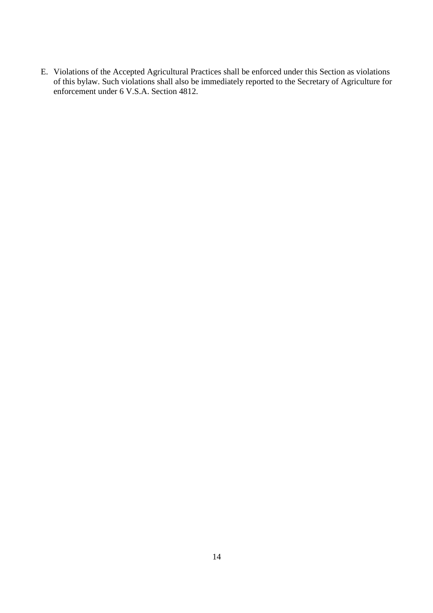E. Violations of the Accepted Agricultural Practices shall be enforced under this Section as violations of this bylaw. Such violations shall also be immediately reported to the Secretary of Agriculture for enforcement under 6 V.S.A. Section 4812.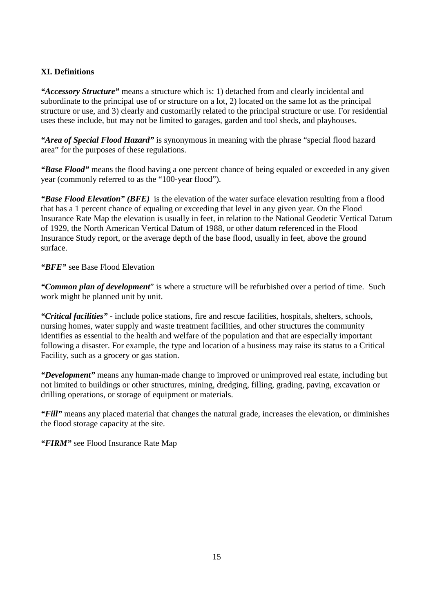# **XI. Definitions**

*"Accessory Structure"* means a structure which is: 1) detached from and clearly incidental and subordinate to the principal use of or structure on a lot, 2) located on the same lot as the principal structure or use, and 3) clearly and customarily related to the principal structure or use. For residential uses these include, but may not be limited to garages, garden and tool sheds, and playhouses.

*"Area of Special Flood Hazard"* is synonymous in meaning with the phrase "special flood hazard area" for the purposes of these regulations.

*"Base Flood"* means the flood having a one percent chance of being equaled or exceeded in any given year (commonly referred to as the "100-year flood").

*"Base Flood Elevation" (BFE)* is the elevation of the water surface elevation resulting from a flood that has a 1 percent chance of equaling or exceeding that level in any given year. On the Flood Insurance Rate Map the elevation is usually in feet, in relation to the National Geodetic Vertical Datum of 1929, the North American Vertical Datum of 1988, or other datum referenced in the Flood Insurance Study report, or the average depth of the base flood, usually in feet, above the ground surface.

*"BFE"* see Base Flood Elevation

*"Common plan of development*" is where a structure will be refurbished over a period of time. Such work might be planned unit by unit.

*"Critical facilities"* - include police stations, fire and rescue facilities, hospitals, shelters, schools, nursing homes, water supply and waste treatment facilities, and other structures the community identifies as essential to the health and welfare of the population and that are especially important following a disaster. For example, the type and location of a business may raise its status to a Critical Facility, such as a grocery or gas station.

*"Development"* means any human-made change to improved or unimproved real estate, including but not limited to buildings or other structures, mining, dredging, filling, grading, paving, excavation or drilling operations, or storage of equipment or materials.

*"Fill"* means any placed material that changes the natural grade, increases the elevation, or diminishes the flood storage capacity at the site.

*"FIRM"* see Flood Insurance Rate Map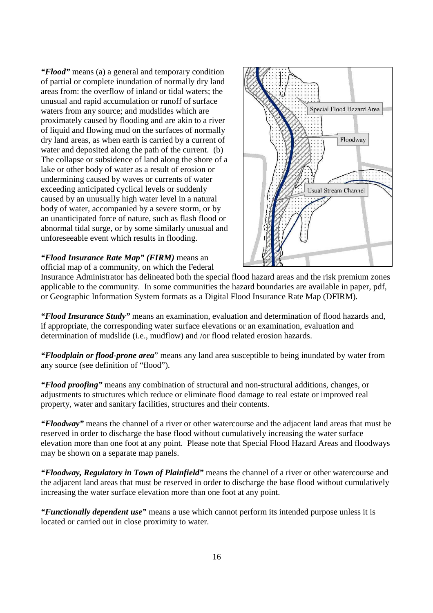*"Flood"* means (a) a general and temporary condition of partial or complete inundation of normally dry land areas from: the overflow of inland or tidal waters; the unusual and rapid accumulation or runoff of surface waters from any source; and mudslides which are proximately caused by flooding and are akin to a river of liquid and flowing mud on the surfaces of normally dry land areas, as when earth is carried by a current of water and deposited along the path of the current. (b) The collapse or subsidence of land along the shore of a lake or other body of water as a result of erosion or undermining caused by waves or currents of water exceeding anticipated cyclical levels or suddenly caused by an unusually high water level in a natural body of water, accompanied by a severe storm, or by an unanticipated force of nature, such as flash flood or abnormal tidal surge, or by some similarly unusual and unforeseeable event which results in flooding.

#### *"Flood Insurance Rate Map" (FIRM)* means an official map of a community, on which the Federal



Insurance Administrator has delineated both the special flood hazard areas and the risk premium zones applicable to the community. In some communities the hazard boundaries are available in paper, pdf, or Geographic Information System formats as a Digital Flood Insurance Rate Map (DFIRM).

*"Flood Insurance Study"* means an examination, evaluation and determination of flood hazards and, if appropriate, the corresponding water surface elevations or an examination, evaluation and determination of mudslide (i.e., mudflow) and /or flood related erosion hazards.

*"Floodplain or flood-prone area*" means any land area susceptible to being inundated by water from any source (see definition of "flood").

*"Flood proofing"* means any combination of structural and non-structural additions, changes, or adjustments to structures which reduce or eliminate flood damage to real estate or improved real property, water and sanitary facilities, structures and their contents.

*"Floodway"* means the channel of a river or other watercourse and the adjacent land areas that must be reserved in order to discharge the base flood without cumulatively increasing the water surface elevation more than one foot at any point. Please note that Special Flood Hazard Areas and floodways may be shown on a separate map panels.

*"Floodway, Regulatory in Town of Plainfield"* means the channel of a river or other watercourse and the adjacent land areas that must be reserved in order to discharge the base flood without cumulatively increasing the water surface elevation more than one foot at any point.

*"Functionally dependent use"* means a use which cannot perform its intended purpose unless it is located or carried out in close proximity to water.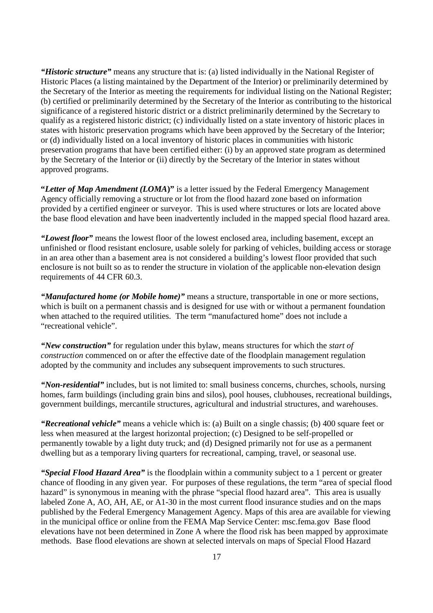*"Historic structure"* means any structure that is: (a) listed individually in the National Register of Historic Places (a listing maintained by the Department of the Interior) or preliminarily determined by the Secretary of the Interior as meeting the requirements for individual listing on the National Register; (b) certified or preliminarily determined by the Secretary of the Interior as contributing to the historical significance of a registered historic district or a district preliminarily determined by the Secretary to qualify as a registered historic district; (c) individually listed on a state inventory of historic places in states with historic preservation programs which have been approved by the Secretary of the Interior; or (d) individually listed on a local inventory of historic places in communities with historic preservation programs that have been certified either: (i) by an approved state program as determined by the Secretary of the Interior or (ii) directly by the Secretary of the Interior in states without approved programs.

**"***Letter of Map Amendment (LOMA***)"** is a letter issued by the Federal Emergency Management Agency officially removing a structure or lot from the flood hazard zone based on information provided by a certified engineer or surveyor. This is used where structures or lots are located above the base flood elevation and have been inadvertently included in the mapped special flood hazard area.

*"Lowest floor"* means the lowest floor of the lowest enclosed area, including basement, except an unfinished or flood resistant enclosure, usable solely for parking of vehicles, building access or storage in an area other than a basement area is not considered a building's lowest floor provided that such enclosure is not built so as to render the structure in violation of the applicable non-elevation design requirements of 44 CFR 60.3.

*"Manufactured home (or Mobile home)"* means a structure, transportable in one or more sections, which is built on a permanent chassis and is designed for use with or without a permanent foundation when attached to the required utilities. The term "manufactured home" does not include a "recreational vehicle".

*"New construction"* for regulation under this bylaw, means structures for which the *start of construction* commenced on or after the effective date of the floodplain management regulation adopted by the community and includes any subsequent improvements to such structures.

*"Non-residential"* includes, but is not limited to: small business concerns, churches, schools, nursing homes, farm buildings (including grain bins and silos), pool houses, clubhouses, recreational buildings, government buildings, mercantile structures, agricultural and industrial structures, and warehouses.

*"Recreational vehicle"* means a vehicle which is: (a) Built on a single chassis; (b) 400 square feet or less when measured at the largest horizontal projection; (c) Designed to be self-propelled or permanently towable by a light duty truck; and (d) Designed primarily not for use as a permanent dwelling but as a temporary living quarters for recreational, camping, travel, or seasonal use.

*"Special Flood Hazard Area"* is the floodplain within a community subject to a 1 percent or greater chance of flooding in any given year. For purposes of these regulations, the term "area of special flood hazard" is synonymous in meaning with the phrase "special flood hazard area". This area is usually labeled Zone A, AO, AH, AE, or A1-30 in the most current flood insurance studies and on the maps published by the Federal Emergency Management Agency. Maps of this area are available for viewing in the municipal office or online from the FEMA Map Service Center: msc.fema.gov Base flood elevations have not been determined in Zone A where the flood risk has been mapped by approximate methods. Base flood elevations are shown at selected intervals on maps of Special Flood Hazard